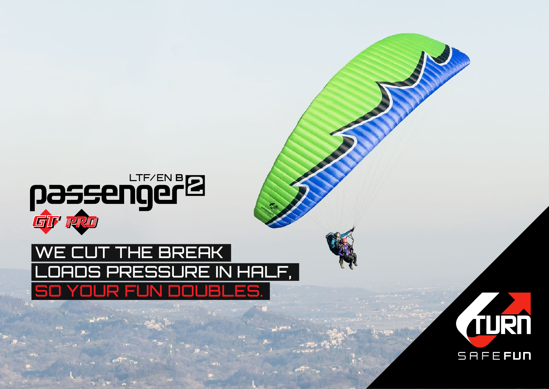



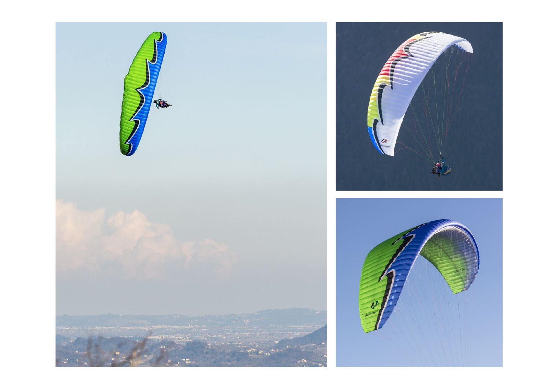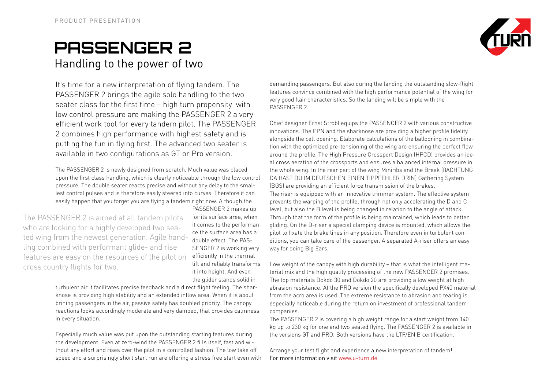## **PASSeNGER 2** Handling to the power of two

It's time for a new interpretation of flying tandem. The PASSENGER 2 brings the agile solo handling to the two seater class for the first time – high turn propensity with low control pressure are making the PASSENGER 2 a very efficient work tool for every tandem pilot. The PASSENGER 2 combines high performance with highest safety and is putting the fun in flying first. The advanced two seater is available in two configurations as GT or Pro version.

The PASSENGER 2 is newly designed from scratch. Much value was placed upon the first class handling, which is clearly noticeable through the low control pressure. The double seater reacts precise and without any delay to the smallest control pulses and is therefore easily steered into curves. Therefore it can easily happen that you forget you are flying a tandem right now. Although the

The PASSENGER 2 is aimed at all tandem pilots who are looking for a highly developed two seated wing from the newest generation. Agile handling combined with performant glide- and rise features are easy on the resources of the pilot on cross country flights for two.

PASSENGER 2 makes up for its surface area, when it comes to the performance the surface area has a double effect. The PAS-SENGER 2 is working very efficiently in the thermal lift and reliably transforms it into height. And even the glider stands solid in

turbulent air it facilitates precise feedback and a direct flight feeling. The sharknose is providing high stability and an extended inflow area. When it is about brining passengers in the air, passive safety has doubled priority. The canopy reactions looks accordingly moderate and very damped, that provides calmness in every situation.

Especially much value was put upon the outstanding starting features during the development. Even at zero-wind the PASSENGER 2 fills itself, fast and without any effort and rises over the pilot in a controlled fashion. The low take off speed and a surprisingly short start run are offering a stress free start even with demanding passengers. But also during the landing the outstanding slow-flight features convince combined with the high performance potential of the wing for very good flair characteristics. So the landing will be simple with the PASSENGER 2.

Chief designer Ernst Strobl equips the PASSENGER 2 with various constructive innovations. The PPN and the sharknose are providing a higher profile fidelity alongside the cell opening. Elaborate calculations of the ballooning in combination with the optimized pre-tensioning of the wing are ensuring the perfect flow around the profile. The High Pressure Crossport Design (HPCD) provides an ideal cross aeration of the crossports and ensures a balanced internal pressure in the whole wing. In the rear part of the wing Miniribs and the Break (ßACHTUNG DA HAST DU IM DEUTSCHEN EINEN TIPPFEHLER DRIN) Gathering System (BGS) are providing an efficient force transmission of the brakes. The riser is equipped with an innovative trimmer system. The effective system prevents the warping of the profile, through not only accelerating the D and C level, but also the B level is being changed in relation to the angle of attack. Through that the form of the profile is being maintained, which leads to better gliding. On the D-riser a special clamping device is mounted, which allows the pilot to fixate the brake lines in any position. Therefore even in turbulent conditions, you can take care of the passenger. A separated A-riser offers an easy way for doing Big Ears.

Low weight of the canopy with high durability – that is what the intelligent material mix and the high quality processing of the new PASSENGER 2 promises. The top materials Dokdo 30 and Dokdo 20 are providing a low weight at high abrasion resistance. At the PRO version the specifically developed PX40 material from the acro area is used. The extreme resistance to abrasion and tearing is especially noticeable during the return on investment of professional tandem companies.

The PASSENGER 2 is covering a high weight range for a start weight from 140 kg up to 230 kg for one and two seated flying. The PASSENGER 2 is available in the versions GT and PRO. Both versions have the LTF/EN B certification.

Arrange your test flight and experience a new interpretation of tandem! For more information visit www.u-turn.de